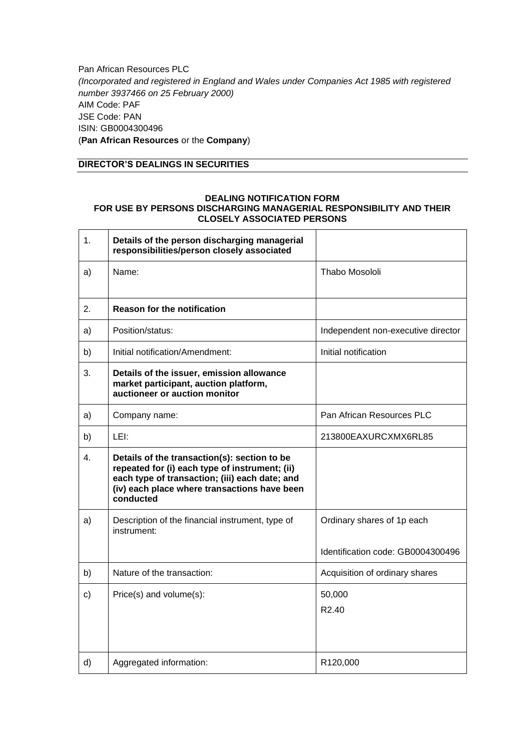Pan African Resources PLC *(Incorporated and registered in England and Wales under Companies Act 1985 with registered number 3937466 on 25 February 2000)* AIM Code: PAF JSE Code: PAN ISIN: GB0004300496 (**Pan African Resources** or the **Company**)

## **DIRECTOR'S DEALINGS IN SECURITIES**

## **DEALING NOTIFICATION FORM FOR USE BY PERSONS DISCHARGING MANAGERIAL RESPONSIBILITY AND THEIR CLOSELY ASSOCIATED PERSONS**

| 1. | Details of the person discharging managerial<br>responsibilities/person closely associated                                                                                                                    |                                    |
|----|---------------------------------------------------------------------------------------------------------------------------------------------------------------------------------------------------------------|------------------------------------|
| a) | Name:                                                                                                                                                                                                         | Thabo Mosololi                     |
| 2. | <b>Reason for the notification</b>                                                                                                                                                                            |                                    |
| a) | Position/status:                                                                                                                                                                                              | Independent non-executive director |
| b) | Initial notification/Amendment:                                                                                                                                                                               | Initial notification               |
| 3. | Details of the issuer, emission allowance<br>market participant, auction platform,<br>auctioneer or auction monitor                                                                                           |                                    |
| a) | Company name:                                                                                                                                                                                                 | Pan African Resources PLC          |
| b) | LEI:                                                                                                                                                                                                          | 213800EAXURCXMX6RL85               |
| 4. | Details of the transaction(s): section to be<br>repeated for (i) each type of instrument; (ii)<br>each type of transaction; (iii) each date; and<br>(iv) each place where transactions have been<br>conducted |                                    |
| a) | Description of the financial instrument, type of<br>instrument:                                                                                                                                               | Ordinary shares of 1p each         |
|    |                                                                                                                                                                                                               | Identification code: GB0004300496  |
| b) | Nature of the transaction:                                                                                                                                                                                    | Acquisition of ordinary shares     |
| c) | Price(s) and volume(s):                                                                                                                                                                                       | 50,000<br>R <sub>2.40</sub>        |
| d) | Aggregated information:                                                                                                                                                                                       | R120,000                           |